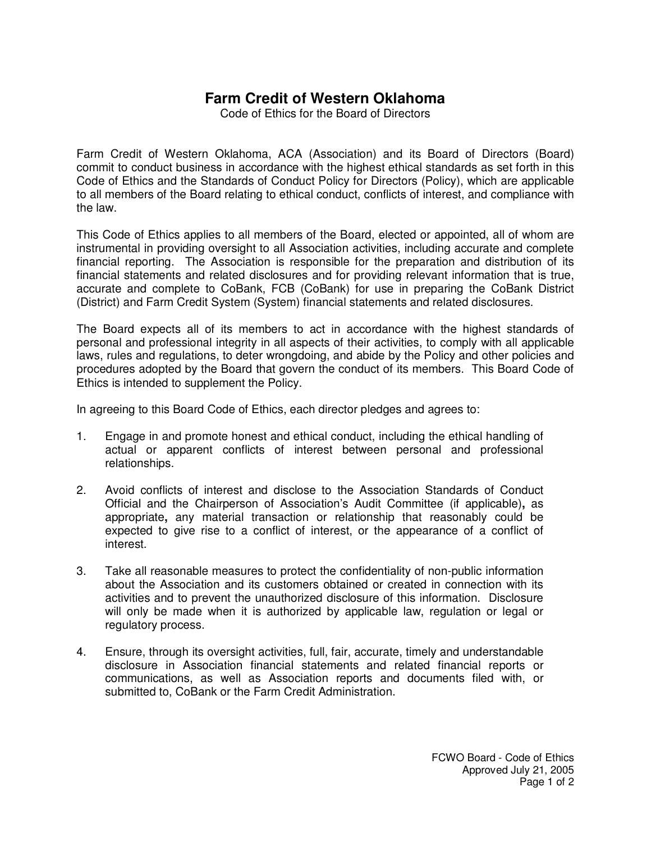## **Farm Credit of Western Oklahoma**

Code of Ethics for the Board of Directors

Farm Credit of Western Oklahoma, ACA (Association) and its Board of Directors (Board) commit to conduct business in accordance with the highest ethical standards as set forth in this Code of Ethics and the Standards of Conduct Policy for Directors (Policy), which are applicable to all members of the Board relating to ethical conduct, conflicts of interest, and compliance with the law.

This Code of Ethics applies to all members of the Board, elected or appointed, all of whom are instrumental in providing oversight to all Association activities, including accurate and complete financial reporting. The Association is responsible for the preparation and distribution of its financial statements and related disclosures and for providing relevant information that is true, accurate and complete to CoBank, FCB (CoBank) for use in preparing the CoBank District (District) and Farm Credit System (System) financial statements and related disclosures.

The Board expects all of its members to act in accordance with the highest standards of personal and professional integrity in all aspects of their activities, to comply with all applicable laws, rules and regulations, to deter wrongdoing, and abide by the Policy and other policies and procedures adopted by the Board that govern the conduct of its members.This Board Code of Ethics is intended to supplement the Policy.

In agreeing to this Board Code of Ethics, each director pledges and agrees to:

- 1. Engage in and promote honest and ethical conduct, including the ethical handling of actual or apparent conflicts of interest between personal and professional relationships.
- 2. Avoid conflicts of interest and disclose to the Association Standards of Conduct Official and the Chairperson of Association's Audit Committee (if applicable)**,** as appropriate**,** any material transaction or relationship that reasonably could be expected to give rise to a conflict of interest, or the appearance of a conflict of interest.
- 3. Take all reasonable measures to protect the confidentiality of non-public information about the Association and its customers obtained or created in connection with its activities and to prevent the unauthorized disclosure of this information. Disclosure will only be made when it is authorized by applicable law, regulation or legal or regulatory process.
- 4. Ensure, through its oversight activities, full, fair, accurate, timely and understandable disclosure in Association financial statements and related financial reports or communications, as well as Association reports and documents filed with, or submitted to, CoBank or the Farm Credit Administration.